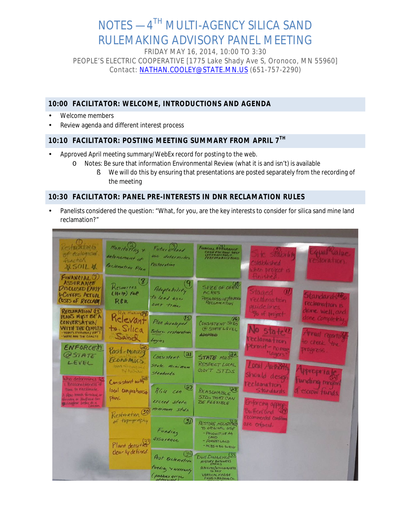# NOTES  $-4$ <sup>TH</sup> MULTI-AGENCY SILICA SAND RULEMAKING ADVISORY PANEL MEETING

FRIDAY MAY 16, 2014, 10:00 TO 3:30 PEOPLE'S ELECTRIC COOPERATIVE [1775 Lake Shady Ave S, Oronoco, MN 55960] Contact: [NATHAN.COOLEY@STATE.MN.US](mailto:Nathan.Cooley@state.mn.us) (651-757-2290)

## **10:00 FACILITATOR: WELCOME, INTRODUCTIONS AND AGENDA**

- Welcome members
- Review agenda and different interest process

## **10:10 FACILITATOR: POSTING MEETING SUMMARY FROM APRIL 7TH**

- Approved April meeting summary/WebEx record for posting to the web.
	- O Notes: Be sure that information Environmental Review (what it is and isn't) is available
		- § We will do this by ensuring that presentations are posted separately from the recording of the meeting

#### **10:30 FACILITATOR: PANEL PRE-INTERESTS IN DNR RECLAMATION RULES**

Panelists considered the question: "What, for you, are the key interests to consider for silica sand mine land reclamation?"

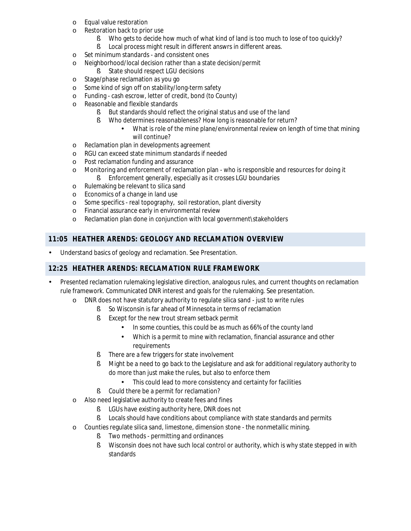- o Equal value restoration
- o Restoration back to prior use
	- § Who gets to decide how much of what kind of land is too much to lose of too quickly?
	- § Local process might result in different answrs in different areas.
- o Set minimum standards and consistent ones
- o Neighborhood/local decision rather than a state decision/permit
	- § State should respect LGU decisions
- 
- o Stage/phase reclamation as you go<br>
o Some kind of sign off on stability/lo Some kind of sign off on stability/long-term safety
- o Funding cash escrow, letter of credit, bond (to County)
- o Reasonable and flexible standards
	- § But standards should reflect the original status and use of the land
	- § Who determines reasonableness? How long is reasonable for return?
		- What is role of the mine plane/environmental review on length of time that mining will continue?
- o Reclamation plan in developments agreement
- o RGU can exceed state minimum standards if needed
- o Post reclamation funding and assurance
- o Monitoring and enforcement of reclamation plan who is responsible and resources for doing it **§** Enforcement generally, especially as it crosses LGU boundaries
- 
- o Rulemaking be relevant to silica sand<br>
o Economics of a change in land use Economics of a change in land use
- o Some specifics real topography, soil restoration, plant diversity
- o Financial assurance early in environmental review
- o Reclamation plan done in conjunction with local government\stakeholders

## **11:05 HEATHER ARENDS: GEOLOGY AND RECLAMATION OVERVIEW**

Understand basics of geology and reclamation. See Presentation.

#### **12:25 HEATHER ARENDS: RECLAMATION RULE FRAMEWORK**

- Presented reclamation rulemaking legislative direction, analogous rules, and current thoughts on reclamation rule framework. Communicated DNR interest and goals for the rulemaking. See presentation.
	- o DNR does not have statutory authority to regulate silica sand just to write rules
		- § So Wisconsin is far ahead of Minnesota in terms of reclamation
		- **§** Except for the new trout stream setback permit
			- In some counties, this could be as much as 66% of the county land
			- Which is a permit to mine with reclamation, financial assurance and other  $\blacksquare$ requirements
		- § There are a few triggers for state involvement
		- **§** Might be a need to go back to the Legislature and ask for additional regulatory authority to do more than just make the rules, but also to enforce them
			- This could lead to more consistency and certainty for facilities
		- § Could there be a permit for reclamation?
	- o Also need legislative authority to create fees and fines
		- § LGUs have existing authority here, DNR does not
		- § Locals should have conditions about compliance with state standards and permits
	- o Counties regulate silica sand, limestone, dimension stone the nonmetallic mining.
		- § Two methods permitting and ordinances
		- **§** Wisconsin does not have such local control or authority, which is why state stepped in with standards